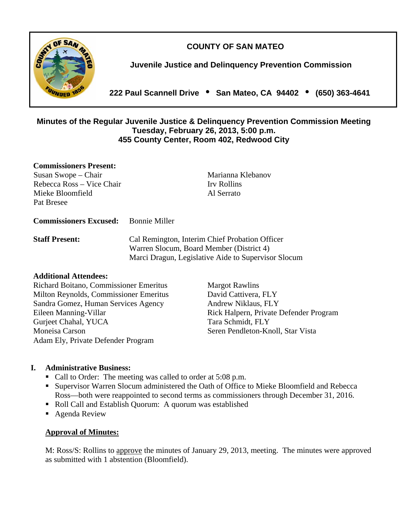**COUNTY OF SAN MATEO** 



**Juvenile Justice and Delinquency Prevention Commission** 

**222 Paul Scannell Drive San Mateo, CA 94402 (650) 363-4641** 

### **Minutes of the Regular Juvenile Justice & Delinquency Prevention Commission Meeting Tuesday, February 26, 2013, 5:00 p.m. 455 County Center, Room 402, Redwood City**

### **Commissioners Present:**

Susan Swope – Chair Marianna Klebanov Rebecca Ross – Vice Chair Irv Rollins Mieke Bloomfield Al Serrato Pat Bresee

#### **Commissioners Excused:** Bonnie Miller

**Staff Present:** Cal Remington, Interim Chief Probation Officer Warren Slocum, Board Member (District 4) Marci Dragun, Legislative Aide to Supervisor Slocum

### **Additional Attendees:**

Richard Boitano, Commissioner Emeritus Margot Rawlins Milton Reynolds, Commissioner Emeritus David Cattivera, FLY Sandra Gomez, Human Services Agency Andrew Niklaus, FLY Eileen Manning-Villar **Rick Halpern, Private Defender Program** Gurjeet Chahal, YUCA Tara Schmidt, FLY Moneisa Carson Seren Pendleton-Knoll, Star Vista Adam Ely, Private Defender Program

## **I. Administrative Business:**

- Call to Order: The meeting was called to order at 5:08 p.m.
- Supervisor Warren Slocum administered the Oath of Office to Mieke Bloomfield and Rebecca Ross—both were reappointed to second terms as commissioners through December 31, 2016.
- Roll Call and Establish Quorum: A quorum was established
- Agenda Review

### **Approval of Minutes:**

M: Ross/S: Rollins to approve the minutes of January 29, 2013, meeting. The minutes were approved as submitted with 1 abstention (Bloomfield).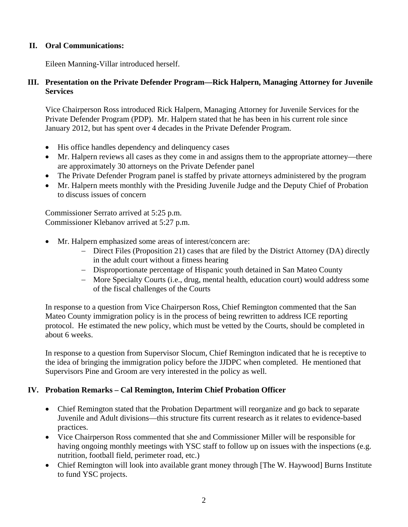## **II. Oral Communications:**

Eileen Manning-Villar introduced herself.

## **III. Presentation on the Private Defender Program—Rick Halpern, Managing Attorney for Juvenile Services**

Vice Chairperson Ross introduced Rick Halpern, Managing Attorney for Juvenile Services for the Private Defender Program (PDP). Mr. Halpern stated that he has been in his current role since January 2012, but has spent over 4 decades in the Private Defender Program.

- His office handles dependency and delinquency cases
- Mr. Halpern reviews all cases as they come in and assigns them to the appropriate attorney—there are approximately 30 attorneys on the Private Defender panel
- The Private Defender Program panel is staffed by private attorneys administered by the program
- Mr. Halpern meets monthly with the Presiding Juvenile Judge and the Deputy Chief of Probation to discuss issues of concern

Commissioner Serrato arrived at 5:25 p.m. Commissioner Klebanov arrived at 5:27 p.m.

- Mr. Halpern emphasized some areas of interest/concern are:
	- Direct Files (Proposition 21) cases that are filed by the District Attorney (DA) directly in the adult court without a fitness hearing
	- Disproportionate percentage of Hispanic youth detained in San Mateo County
	- More Specialty Courts (i.e., drug, mental health, education court) would address some of the fiscal challenges of the Courts

In response to a question from Vice Chairperson Ross, Chief Remington commented that the San Mateo County immigration policy is in the process of being rewritten to address ICE reporting protocol. He estimated the new policy, which must be vetted by the Courts, should be completed in about 6 weeks.

In response to a question from Supervisor Slocum, Chief Remington indicated that he is receptive to the idea of bringing the immigration policy before the JJDPC when completed. He mentioned that Supervisors Pine and Groom are very interested in the policy as well.

## **IV. Probation Remarks – Cal Remington, Interim Chief Probation Officer**

- Chief Remington stated that the Probation Department will reorganize and go back to separate Juvenile and Adult divisions—this structure fits current research as it relates to evidence-based practices.
- Vice Chairperson Ross commented that she and Commissioner Miller will be responsible for having ongoing monthly meetings with YSC staff to follow up on issues with the inspections (e.g. nutrition, football field, perimeter road, etc.)
- Chief Remington will look into available grant money through [The W. Haywood] Burns Institute to fund YSC projects.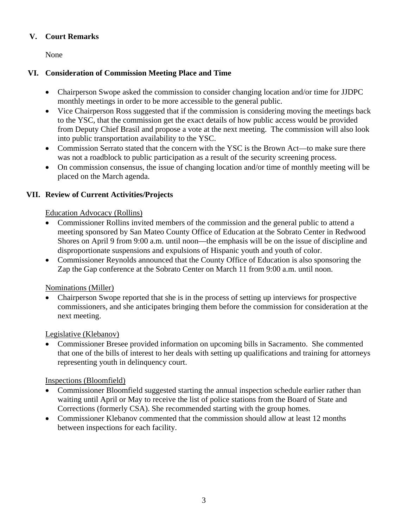## **V. Court Remarks**

None

## **VI. Consideration of Commission Meeting Place and Time**

- Chairperson Swope asked the commission to consider changing location and/or time for JJDPC monthly meetings in order to be more accessible to the general public.
- Vice Chairperson Ross suggested that if the commission is considering moving the meetings back to the YSC, that the commission get the exact details of how public access would be provided from Deputy Chief Brasil and propose a vote at the next meeting. The commission will also look into public transportation availability to the YSC.
- Commission Serrato stated that the concern with the YSC is the Brown Act—to make sure there was not a roadblock to public participation as a result of the security screening process.
- On commission consensus, the issue of changing location and/or time of monthly meeting will be placed on the March agenda.

## **VII. Review of Current Activities/Projects**

Education Advocacy (Rollins)

- Commissioner Rollins invited members of the commission and the general public to attend a meeting sponsored by San Mateo County Office of Education at the Sobrato Center in Redwood Shores on April 9 from 9:00 a.m. until noon—the emphasis will be on the issue of discipline and disproportionate suspensions and expulsions of Hispanic youth and youth of color.
- Commissioner Reynolds announced that the County Office of Education is also sponsoring the Zap the Gap conference at the Sobrato Center on March 11 from 9:00 a.m. until noon.

## Nominations (Miller)

 Chairperson Swope reported that she is in the process of setting up interviews for prospective commissioners, and she anticipates bringing them before the commission for consideration at the next meeting.

## Legislative (Klebanov)

 Commissioner Bresee provided information on upcoming bills in Sacramento. She commented that one of the bills of interest to her deals with setting up qualifications and training for attorneys representing youth in delinquency court.

## Inspections (Bloomfield)

- Commissioner Bloomfield suggested starting the annual inspection schedule earlier rather than waiting until April or May to receive the list of police stations from the Board of State and Corrections (formerly CSA). She recommended starting with the group homes.
- Commissioner Klebanov commented that the commission should allow at least 12 months between inspections for each facility.